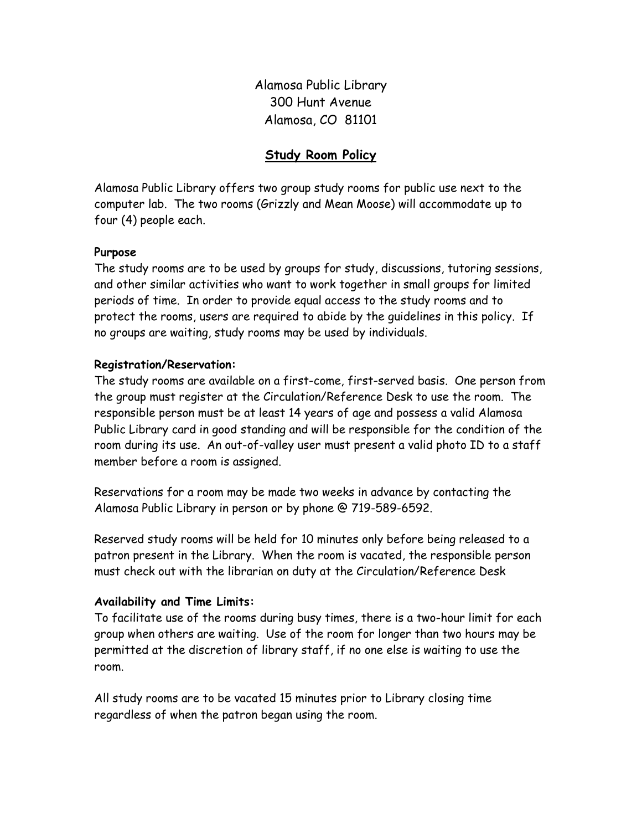Alamosa Public Library 300 Hunt Avenue Alamosa, CO 81101

# Study Room Policy

Alamosa Public Library offers two group study rooms for public use next to the computer lab. The two rooms (Grizzly and Mean Moose) will accommodate up to four (4) people each.

## Purpose

The study rooms are to be used by groups for study, discussions, tutoring sessions, and other similar activities who want to work together in small groups for limited periods of time. In order to provide equal access to the study rooms and to protect the rooms, users are required to abide by the guidelines in this policy. If no groups are waiting, study rooms may be used by individuals.

#### Registration/Reservation:

The study rooms are available on a first-come, first-served basis. One person from the group must register at the Circulation/Reference Desk to use the room. The responsible person must be at least 14 years of age and possess a valid Alamosa Public Library card in good standing and will be responsible for the condition of the room during its use. An out-of-valley user must present a valid photo ID to a staff member before a room is assigned.

Reservations for a room may be made two weeks in advance by contacting the Alamosa Public Library in person or by phone @ 719-589-6592.

Reserved study rooms will be held for 10 minutes only before being released to a patron present in the Library. When the room is vacated, the responsible person must check out with the librarian on duty at the Circulation/Reference Desk

#### Availability and Time Limits:

To facilitate use of the rooms during busy times, there is a two-hour limit for each group when others are waiting. Use of the room for longer than two hours may be permitted at the discretion of library staff, if no one else is waiting to use the room.

All study rooms are to be vacated 15 minutes prior to Library closing time regardless of when the patron began using the room.